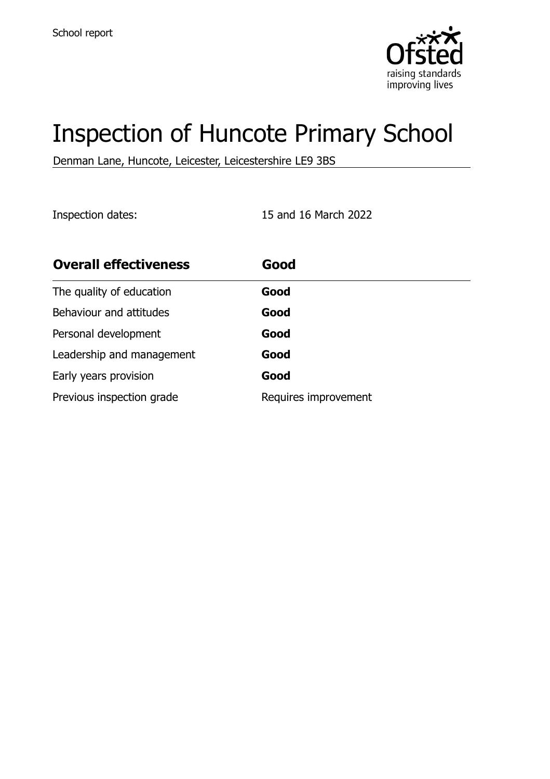

# Inspection of Huncote Primary School

Denman Lane, Huncote, Leicester, Leicestershire LE9 3BS

Inspection dates: 15 and 16 March 2022

| <b>Overall effectiveness</b> | Good                 |
|------------------------------|----------------------|
| The quality of education     | Good                 |
| Behaviour and attitudes      | Good                 |
| Personal development         | Good                 |
| Leadership and management    | Good                 |
| Early years provision        | Good                 |
| Previous inspection grade    | Requires improvement |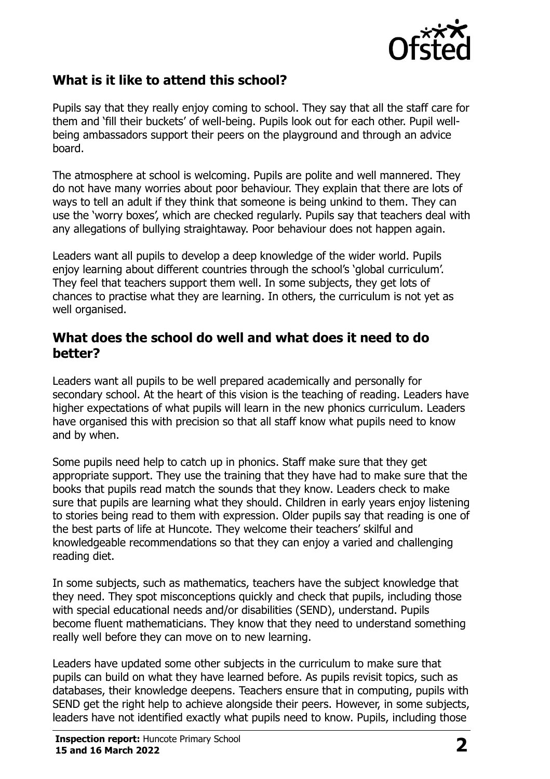

# **What is it like to attend this school?**

Pupils say that they really enjoy coming to school. They say that all the staff care for them and 'fill their buckets' of well-being. Pupils look out for each other. Pupil wellbeing ambassadors support their peers on the playground and through an advice board.

The atmosphere at school is welcoming. Pupils are polite and well mannered. They do not have many worries about poor behaviour. They explain that there are lots of ways to tell an adult if they think that someone is being unkind to them. They can use the 'worry boxes', which are checked regularly. Pupils say that teachers deal with any allegations of bullying straightaway. Poor behaviour does not happen again.

Leaders want all pupils to develop a deep knowledge of the wider world. Pupils enjoy learning about different countries through the school's 'global curriculum'. They feel that teachers support them well. In some subjects, they get lots of chances to practise what they are learning. In others, the curriculum is not yet as well organised.

#### **What does the school do well and what does it need to do better?**

Leaders want all pupils to be well prepared academically and personally for secondary school. At the heart of this vision is the teaching of reading. Leaders have higher expectations of what pupils will learn in the new phonics curriculum. Leaders have organised this with precision so that all staff know what pupils need to know and by when.

Some pupils need help to catch up in phonics. Staff make sure that they get appropriate support. They use the training that they have had to make sure that the books that pupils read match the sounds that they know. Leaders check to make sure that pupils are learning what they should. Children in early years enjoy listening to stories being read to them with expression. Older pupils say that reading is one of the best parts of life at Huncote. They welcome their teachers' skilful and knowledgeable recommendations so that they can enjoy a varied and challenging reading diet.

In some subjects, such as mathematics, teachers have the subject knowledge that they need. They spot misconceptions quickly and check that pupils, including those with special educational needs and/or disabilities (SEND), understand. Pupils become fluent mathematicians. They know that they need to understand something really well before they can move on to new learning.

Leaders have updated some other subjects in the curriculum to make sure that pupils can build on what they have learned before. As pupils revisit topics, such as databases, their knowledge deepens. Teachers ensure that in computing, pupils with SEND get the right help to achieve alongside their peers. However, in some subjects, leaders have not identified exactly what pupils need to know. Pupils, including those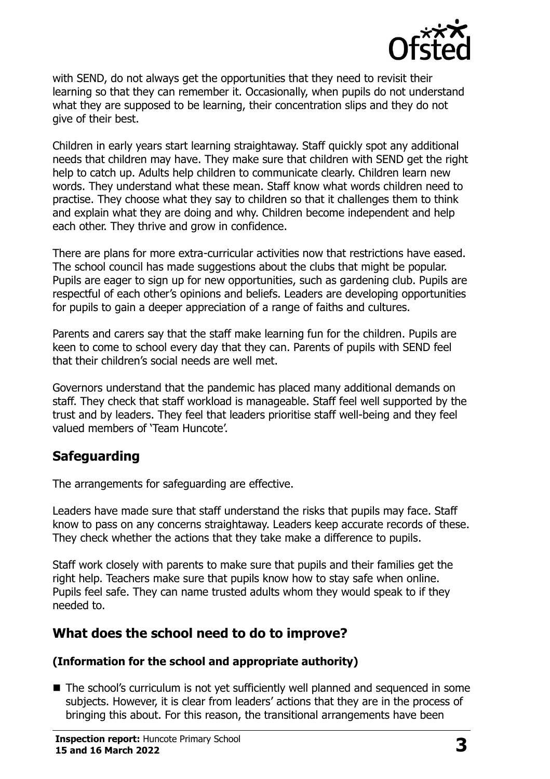

with SEND, do not always get the opportunities that they need to revisit their learning so that they can remember it. Occasionally, when pupils do not understand what they are supposed to be learning, their concentration slips and they do not give of their best.

Children in early years start learning straightaway. Staff quickly spot any additional needs that children may have. They make sure that children with SEND get the right help to catch up. Adults help children to communicate clearly. Children learn new words. They understand what these mean. Staff know what words children need to practise. They choose what they say to children so that it challenges them to think and explain what they are doing and why. Children become independent and help each other. They thrive and grow in confidence.

There are plans for more extra-curricular activities now that restrictions have eased. The school council has made suggestions about the clubs that might be popular. Pupils are eager to sign up for new opportunities, such as gardening club. Pupils are respectful of each other's opinions and beliefs. Leaders are developing opportunities for pupils to gain a deeper appreciation of a range of faiths and cultures.

Parents and carers say that the staff make learning fun for the children. Pupils are keen to come to school every day that they can. Parents of pupils with SEND feel that their children's social needs are well met.

Governors understand that the pandemic has placed many additional demands on staff. They check that staff workload is manageable. Staff feel well supported by the trust and by leaders. They feel that leaders prioritise staff well-being and they feel valued members of 'Team Huncote'.

# **Safeguarding**

The arrangements for safeguarding are effective.

Leaders have made sure that staff understand the risks that pupils may face. Staff know to pass on any concerns straightaway. Leaders keep accurate records of these. They check whether the actions that they take make a difference to pupils.

Staff work closely with parents to make sure that pupils and their families get the right help. Teachers make sure that pupils know how to stay safe when online. Pupils feel safe. They can name trusted adults whom they would speak to if they needed to.

# **What does the school need to do to improve?**

#### **(Information for the school and appropriate authority)**

■ The school's curriculum is not vet sufficiently well planned and sequenced in some subjects. However, it is clear from leaders' actions that they are in the process of bringing this about. For this reason, the transitional arrangements have been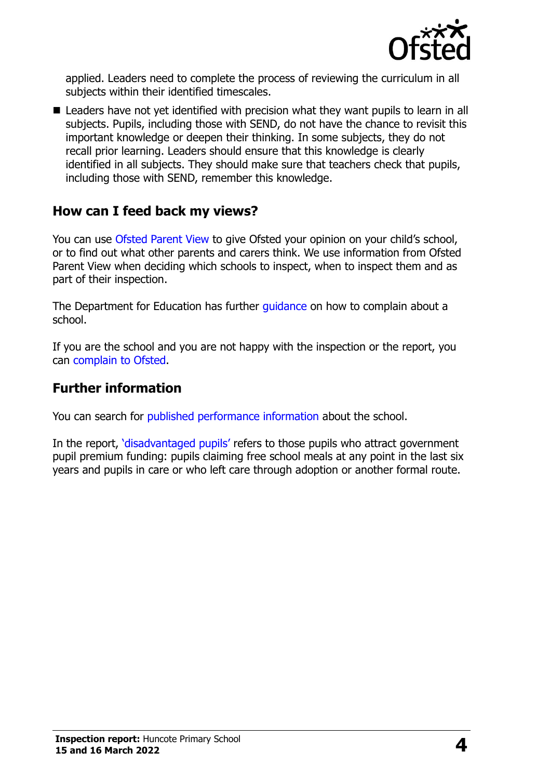

applied. Leaders need to complete the process of reviewing the curriculum in all subjects within their identified timescales.

■ Leaders have not yet identified with precision what they want pupils to learn in all subjects. Pupils, including those with SEND, do not have the chance to revisit this important knowledge or deepen their thinking. In some subjects, they do not recall prior learning. Leaders should ensure that this knowledge is clearly identified in all subjects. They should make sure that teachers check that pupils, including those with SEND, remember this knowledge.

## **How can I feed back my views?**

You can use [Ofsted Parent View](http://parentview.ofsted.gov.uk/) to give Ofsted your opinion on your child's school, or to find out what other parents and carers think. We use information from Ofsted Parent View when deciding which schools to inspect, when to inspect them and as part of their inspection.

The Department for Education has further quidance on how to complain about a school.

If you are the school and you are not happy with the inspection or the report, you can [complain to Ofsted.](http://www.gov.uk/complain-ofsted-report)

### **Further information**

You can search for [published performance information](http://www.compare-school-performance.service.gov.uk/) about the school.

In the report, '[disadvantaged pupils](http://www.gov.uk/guidance/pupil-premium-information-for-schools-and-alternative-provision-settings)' refers to those pupils who attract government pupil premium funding: pupils claiming free school meals at any point in the last six years and pupils in care or who left care through adoption or another formal route.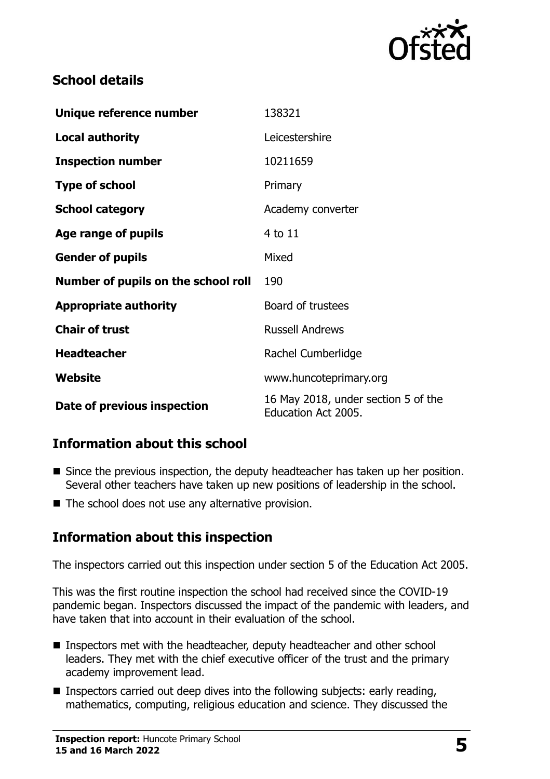

# **School details**

| Unique reference number             | 138321                                                     |  |
|-------------------------------------|------------------------------------------------------------|--|
| <b>Local authority</b>              | Leicestershire                                             |  |
| <b>Inspection number</b>            | 10211659                                                   |  |
| <b>Type of school</b>               | Primary                                                    |  |
| <b>School category</b>              | Academy converter                                          |  |
| Age range of pupils                 | 4 to 11                                                    |  |
| <b>Gender of pupils</b>             | Mixed                                                      |  |
| Number of pupils on the school roll | 190                                                        |  |
| <b>Appropriate authority</b>        | Board of trustees                                          |  |
| <b>Chair of trust</b>               | <b>Russell Andrews</b>                                     |  |
| <b>Headteacher</b>                  | Rachel Cumberlidge                                         |  |
| Website                             | www.huncoteprimary.org                                     |  |
| Date of previous inspection         | 16 May 2018, under section 5 of the<br>Education Act 2005. |  |

# **Information about this school**

- Since the previous inspection, the deputy headteacher has taken up her position. Several other teachers have taken up new positions of leadership in the school.
- The school does not use any alternative provision.

# **Information about this inspection**

The inspectors carried out this inspection under section 5 of the Education Act 2005.

This was the first routine inspection the school had received since the COVID-19 pandemic began. Inspectors discussed the impact of the pandemic with leaders, and have taken that into account in their evaluation of the school.

- Inspectors met with the headteacher, deputy headteacher and other school leaders. They met with the chief executive officer of the trust and the primary academy improvement lead.
- $\blacksquare$  Inspectors carried out deep dives into the following subjects: early reading, mathematics, computing, religious education and science. They discussed the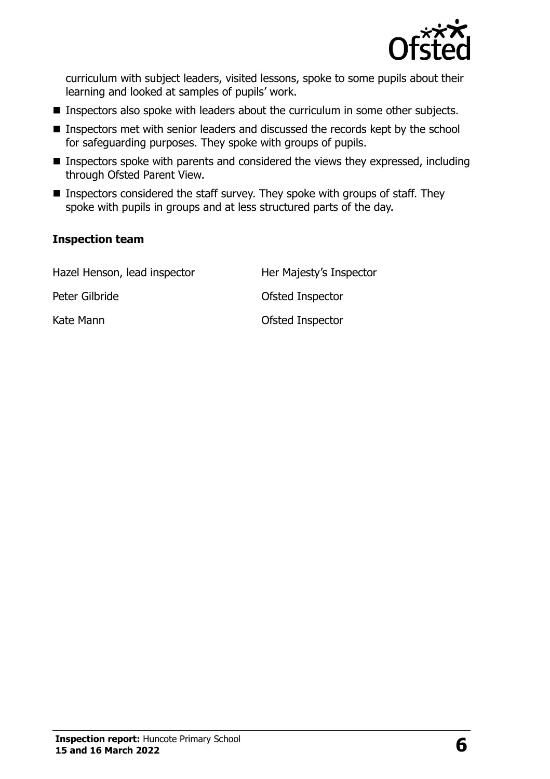

curriculum with subject leaders, visited lessons, spoke to some pupils about their learning and looked at samples of pupils' work.

- Inspectors also spoke with leaders about the curriculum in some other subjects.
- Inspectors met with senior leaders and discussed the records kept by the school for safeguarding purposes. They spoke with groups of pupils.
- Inspectors spoke with parents and considered the views they expressed, including through Ofsted Parent View.
- Inspectors considered the staff survey. They spoke with groups of staff. They spoke with pupils in groups and at less structured parts of the day.

#### **Inspection team**

| Hazel Henson, lead inspector | Her Majesty's Inspector |
|------------------------------|-------------------------|
| Peter Gilbride               | Ofsted Inspector        |
| Kate Mann                    | Ofsted Inspector        |